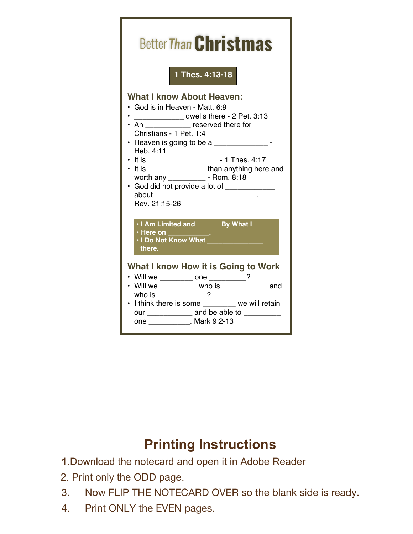| <b>Better Than Christmas</b>                                                                                                                                                                                                                                                                                                                                                                                                                        |
|-----------------------------------------------------------------------------------------------------------------------------------------------------------------------------------------------------------------------------------------------------------------------------------------------------------------------------------------------------------------------------------------------------------------------------------------------------|
| 1 Thes. 4:13-18                                                                                                                                                                                                                                                                                                                                                                                                                                     |
| <b>What I know About Heaven:</b><br>• God is in Heaven - Matt. 6:9<br>dwells there - 2 Pet. 3:13<br>• An _____________ reserved there for<br>Christians - 1 Pet. 1:4<br>• Heaven is going to be a $\frac{1}{2}$ -<br>Heb. 4:11<br>• It is _____________________ - 1 Thes. 4:17<br>• It is _________________than anything here and<br>worth any ______________ - Rom. 8:18<br>· God did not provide a lot of _____________<br>about<br>Rev. 21:15-26 |
| . I Am Limited and <b>_______ By What I</b> ___<br>$\cdot$ Here on $\qquad \qquad$ .<br>. I Do Not Know What<br>there.                                                                                                                                                                                                                                                                                                                              |
| What I know How it is Going to Work<br>• Will we _________ one ________?<br>• Will we <u>who is and</u> who is<br>who is ___________?<br>• I think there is some ________ we will retain<br>our _______________ and be able to __________<br>one ____________. Mark 9:2-13                                                                                                                                                                          |

## **Printing Instructions**

- **1.**Download the notecard and open it in Adobe Reader
- 2. Print only the ODD page.
- 3. Now FLIP THE NOTECARD OVER so the blank side is ready.
- 4. Print ONLY the EVEN pages.